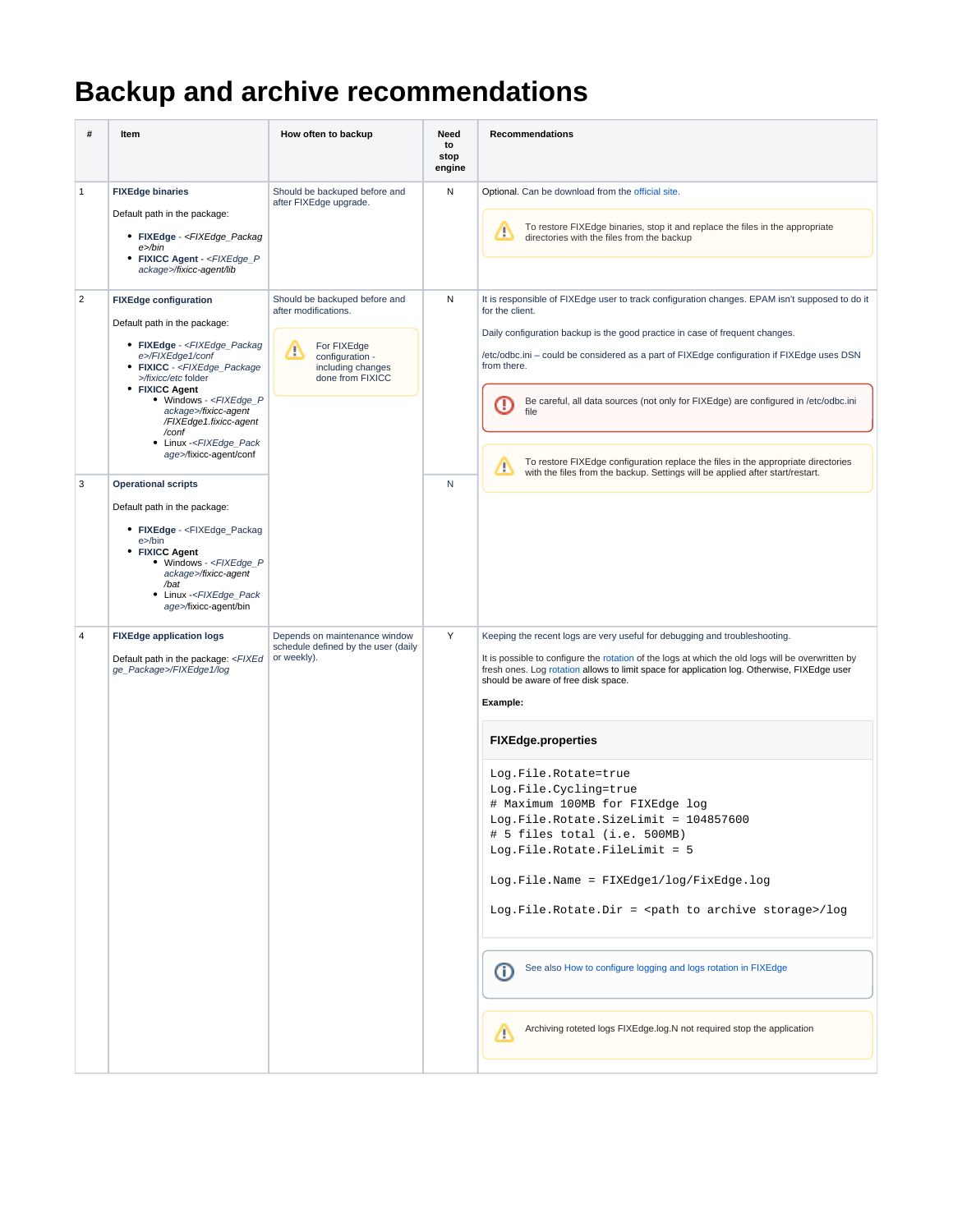## **Backup and archive recommendations**

| #              | Item                                                                                                                                                                                                                                                                                                                                                                                                                                                                                                                                                                                                                                                                                                                                  | How often to backup                                                                                                                   | Need<br>to<br>stop<br>engine | Recommendations                                                                                                                                                                                                                                                                                                                                                                                                                                                                                                                                                                                                                                                                                                                                                                                                                                |
|----------------|---------------------------------------------------------------------------------------------------------------------------------------------------------------------------------------------------------------------------------------------------------------------------------------------------------------------------------------------------------------------------------------------------------------------------------------------------------------------------------------------------------------------------------------------------------------------------------------------------------------------------------------------------------------------------------------------------------------------------------------|---------------------------------------------------------------------------------------------------------------------------------------|------------------------------|------------------------------------------------------------------------------------------------------------------------------------------------------------------------------------------------------------------------------------------------------------------------------------------------------------------------------------------------------------------------------------------------------------------------------------------------------------------------------------------------------------------------------------------------------------------------------------------------------------------------------------------------------------------------------------------------------------------------------------------------------------------------------------------------------------------------------------------------|
| $\mathbf{1}$   | <b>FIXEdge binaries</b><br>Default path in the package:<br>• FIXEdge - <fixedge_packag<br>e&gt;/bin<br/>• FIXICC Agent - <fixedge_p<br>ackage&gt;/fixicc-agent/lib</fixedge_p<br></fixedge_packag<br>                                                                                                                                                                                                                                                                                                                                                                                                                                                                                                                                 | Should be backuped before and<br>after FIXEdge upgrade.                                                                               | Ν                            | Optional. Can be download from the official site.<br>To restore FIXEdge binaries, stop it and replace the files in the appropriate<br>Ф<br>directories with the files from the backup                                                                                                                                                                                                                                                                                                                                                                                                                                                                                                                                                                                                                                                          |
| 2<br>3         | <b>FIXEdge configuration</b><br>Default path in the package:<br>• FIXEdge - <fixedge_packag<br>e&gt;/FIXEdge1/conf<br/>• FIXICC - <fixedge_package<br>&gt;/fixicc/etc folder<br/>• FIXICC Agent<br/>• Windows - <fixedge_p<br>ackage&gt;/fixicc-agent<br/>/FIXEdge1.fixicc-agent<br/>/conf<br/>• Linux -<fixedge_pack<br>age&gt;/fixicc-agent/conf<br/><b>Operational scripts</b><br/>Default path in the package:<br/>• FIXEdge - <fixedge_packag<br>e&gt;/bin<br/>• FIXICC Agent<br/>• Windows - <fixedge_p<br>ackage&gt;/fixicc-agent<br/>/bat<br/>Linux -<fixedge_pack<br>age&gt;/fixicc-agent/bin</fixedge_pack<br></fixedge_p<br></fixedge_packag<br></fixedge_pack<br></fixedge_p<br></fixedge_package<br></fixedge_packag<br> | Should be backuped before and<br>after modifications.<br>For FIXEdge<br>Δ<br>configuration -<br>including changes<br>done from FIXICC | Ν<br>N                       | It is responsible of FIXEdge user to track configuration changes. EPAM isn't supposed to do it<br>for the client.<br>Daily configuration backup is the good practice in case of frequent changes.<br>/etc/odbc.ini - could be considered as a part of FIXEdge configuration if FIXEdge uses DSN<br>from there.<br>Be careful, all data sources (not only for FIXEdge) are configured in /etc/odbc.ini<br>O<br>file<br>To restore FIXEdge configuration replace the files in the appropriate directories<br>Δ<br>with the files from the backup. Settings will be applied after start/restart.                                                                                                                                                                                                                                                  |
| $\overline{4}$ | <b>FIXEdge application logs</b><br>Default path in the package: <fixed<br>ge_Package&gt;/FIXEdge1/log</fixed<br>                                                                                                                                                                                                                                                                                                                                                                                                                                                                                                                                                                                                                      | Depends on maintenance window<br>schedule defined by the user (daily<br>or weekly).                                                   | Υ                            | Keeping the recent logs are very useful for debugging and troubleshooting.<br>It is possible to configure the rotation of the logs at which the old logs will be overwritten by<br>fresh ones. Log rotation allows to limit space for application log. Otherwise, FIXEdge user<br>should be aware of free disk space.<br>Example:<br><b>FIXEdge.properties</b><br>Log.File.Rotate=true<br>Log.File.Cycling=true<br># Maximum 100MB for FIXEdge log<br>Log.File.Rotate.SizeLimit = 104857600<br># 5 files total (i.e. 500MB)<br>Log.File.Rotate.FileLimit = 5<br>Log.File.Name = FIXEdge1/log/FixEdge.log<br>Log. File. Rotate. Dir = <path archive="" storage="" to="">/log<br/>See also How to configure logging and logs rotation in FIXEdge<br/>(i)<br/>Archiving roteted logs FIXEdge.log.N not required stop the application<br/>Δ</path> |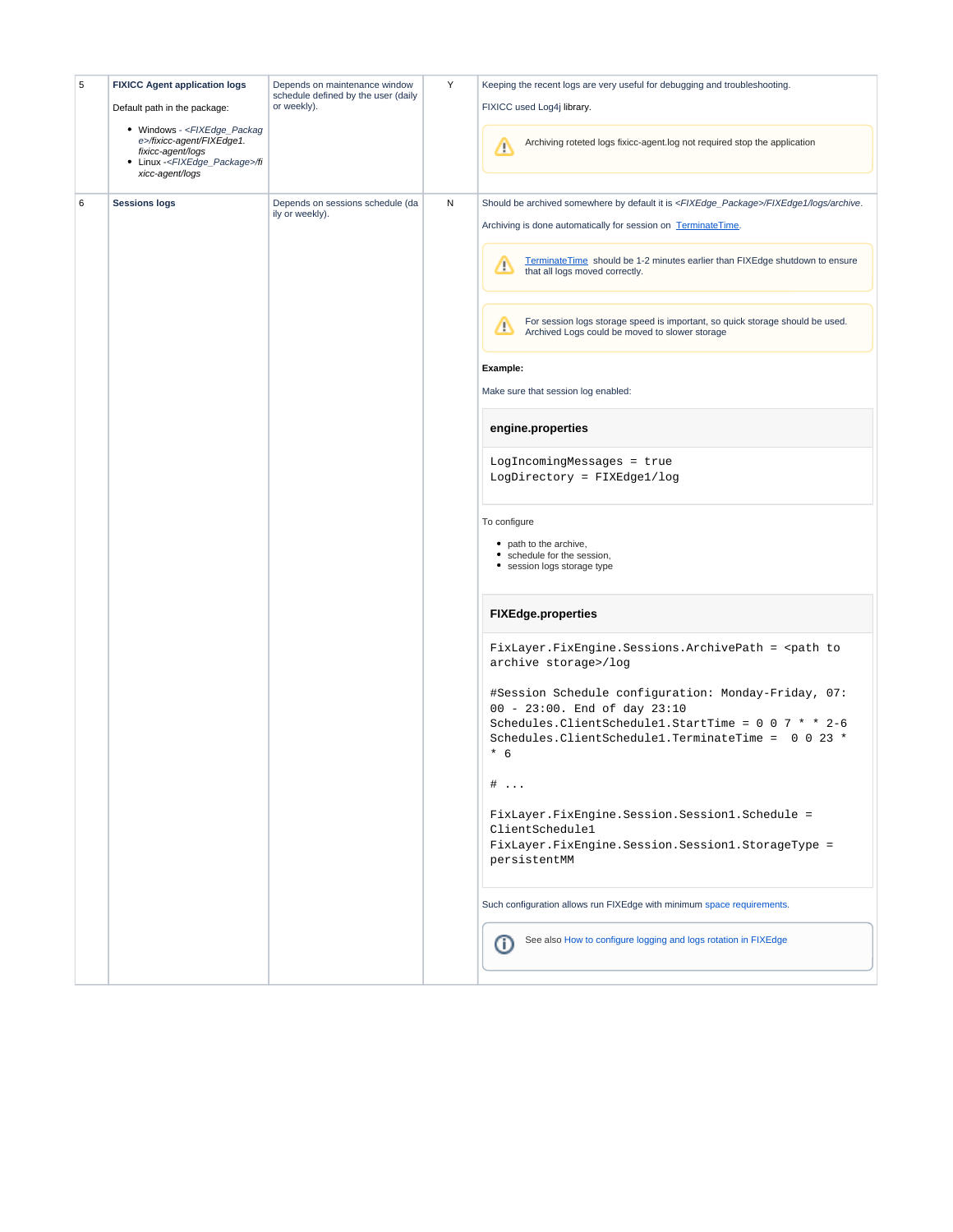| 5 | <b>FIXICC Agent application logs</b><br>Default path in the package:<br>• Windows - <fixedge_packag<br>e&gt;/fixicc-agent/FIXEdge1.<br/>fixicc-agent/logs<br/>• Linux -<fixedge_package>/fi<br/>xicc-agent/logs</fixedge_package></fixedge_packag<br> | Depends on maintenance window<br>schedule defined by the user (daily<br>or weekly). | Υ | Keeping the recent logs are very useful for debugging and troubleshooting.<br>FIXICC used Log4j library.<br>Archiving roteted logs fixicc-agent.log not required stop the application<br>Λ                                                                                                                                                                                                                                                                                                                                                                                                                                                                                                                                                                                                                                                                                                                                                                                                                                                                                                                                                                                                                                                                                                                                                                                                                |
|---|-------------------------------------------------------------------------------------------------------------------------------------------------------------------------------------------------------------------------------------------------------|-------------------------------------------------------------------------------------|---|-----------------------------------------------------------------------------------------------------------------------------------------------------------------------------------------------------------------------------------------------------------------------------------------------------------------------------------------------------------------------------------------------------------------------------------------------------------------------------------------------------------------------------------------------------------------------------------------------------------------------------------------------------------------------------------------------------------------------------------------------------------------------------------------------------------------------------------------------------------------------------------------------------------------------------------------------------------------------------------------------------------------------------------------------------------------------------------------------------------------------------------------------------------------------------------------------------------------------------------------------------------------------------------------------------------------------------------------------------------------------------------------------------------|
| 6 | <b>Sessions logs</b>                                                                                                                                                                                                                                  | Depends on sessions schedule (da<br>ily or weekly).                                 | N | Should be archived somewhere by default it is <fixedge_package>/FIXEdge1/logs/archive.<br/>Archiving is done automatically for session on TerminateTime.<br/>TerminateTime should be 1-2 minutes earlier than FIXEdge shutdown to ensure<br/>Δ<br/>that all logs moved correctly.<br/>For session logs storage speed is important, so quick storage should be used.<br/>Δ<br/>Archived Logs could be moved to slower storage<br/>Example:<br/>Make sure that session log enabled:<br/>engine.properties<br/>LogIncomingMessages = true<br/>LogDirectory = FIXEdge1/log<br/>To configure<br/>• path to the archive,<br/>• schedule for the session,<br/>• session logs storage type<br/><b>FIXEdge.properties</b><br/>FixLayer.FixEngine.Sessions.ArchivePath = <path to<br="">archive storage&gt;/log<br/>#Session Schedule configuration: Monday-Friday, 07:<br/>00 - 23:00. End of day 23:10<br/>Schedules. Client Schedule1. StartTime = <math>0 \t0 \t7 \t* 2-6</math><br/>Schedules. Client Schedule1. TerminateTime = 0 0 23 *<br/><math>*</math> 6<br/><math>\#</math> <br/>FixLayer.FixEngine.Session.Session1.Schedule =<br/>ClientSchedule1<br/>FixLayer.FixEngine.Session.Session1.StorageType =<br/>persistentMM<br/>Such configuration allows run FIXEdge with minimum space requirements.<br/>See also How to configure logging and logs rotation in FIXEdge<br/>O</path></fixedge_package> |
|   |                                                                                                                                                                                                                                                       |                                                                                     |   |                                                                                                                                                                                                                                                                                                                                                                                                                                                                                                                                                                                                                                                                                                                                                                                                                                                                                                                                                                                                                                                                                                                                                                                                                                                                                                                                                                                                           |